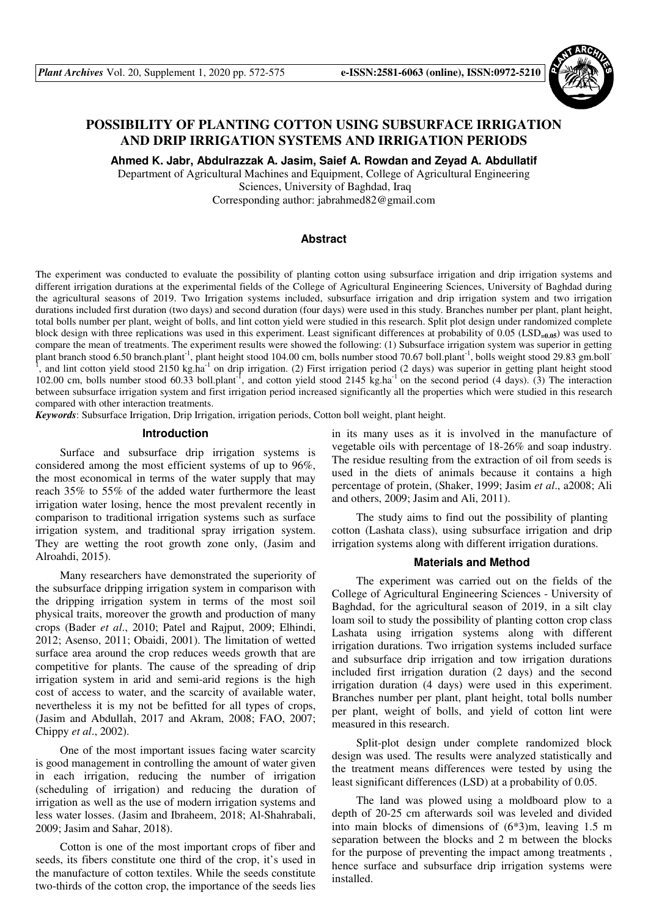

# **POSSIBILITY OF PLANTING COTTON USING SUBSURFACE IRRIGATION AND DRIP IRRIGATION SYSTEMS AND IRRIGATION PERIODS**

**Ahmed K. Jabr, Abdulrazzak A. Jasim, Saief A. Rowdan and Zeyad A. Abdullatif** 

Department of Agricultural Machines and Equipment, College of Agricultural Engineering Sciences, University of Baghdad, Iraq Corresponding author: jabrahmed82@gmail.com

## **Abstract**

The experiment was conducted to evaluate the possibility of planting cotton using subsurface irrigation and drip irrigation systems and different irrigation durations at the experimental fields of the College of Agricultural Engineering Sciences, University of Baghdad during the agricultural seasons of 2019. Two Irrigation systems included, subsurface irrigation and drip irrigation system and two irrigation durations included first duration (two days) and second duration (four days) were used in this study. Branches number per plant, plant height, total bolls number per plant, weight of bolls, and lint cotton yield were studied in this research. Split plot design under randomized complete block design with three replications was used in this experiment. Least significant differences at probability of 0.05 (LSD**=0.05**) was used to compare the mean of treatments. The experiment results were showed the following: (1) Subsurface irrigation system was superior in getting plant branch stood 6.50 branch.plant<sup>-1</sup>, plant height stood 104.00 cm, bolls number stood 70.67 boll.plant<sup>-1</sup>, bolls weight stood 29.83 gm.boll<sup>-1</sup> <sup>1</sup>, and lint cotton yield stood 2150 kg.ha<sup>-1</sup> on drip irrigation. (2) First irrigation period (2 days) was superior in getting plant height stood 102.00 cm, bolls number stood 60.33 boll.plant<sup>-1</sup>, and cotton yield stood 2145 kg.ha<sup>-1</sup> on the second period (4 days). (3) The interaction between subsurface irrigation system and first irrigation period increased significantly all the properties which were studied in this research compared with other interaction treatments.

*Keywords*: Subsurface Irrigation, Drip Irrigation, irrigation periods, Cotton boll weight, plant height.

## **Introduction**

Surface and subsurface drip irrigation systems is considered among the most efficient systems of up to 96%, the most economical in terms of the water supply that may reach 35% to 55% of the added water furthermore the least irrigation water losing, hence the most prevalent recently in comparison to traditional irrigation systems such as surface irrigation system, and traditional spray irrigation system. They are wetting the root growth zone only, (Jasim and Alroahdi, 2015).

Many researchers have demonstrated the superiority of the subsurface dripping irrigation system in comparison with the dripping irrigation system in terms of the most soil physical traits, moreover the growth and production of many crops (Bader *et al*., 2010; Patel and Rajput, 2009; Elhindi, 2012; Asenso, 2011; Obaidi, 2001). The limitation of wetted surface area around the crop reduces weeds growth that are competitive for plants. The cause of the spreading of drip irrigation system in arid and semi-arid regions is the high cost of access to water, and the scarcity of available water, nevertheless it is my not be befitted for all types of crops, (Jasim and Abdullah, 2017 and Akram, 2008; FAO, 2007; Chippy *et al*., 2002).

One of the most important issues facing water scarcity is good management in controlling the amount of water given in each irrigation, reducing the number of irrigation (scheduling of irrigation) and reducing the duration of irrigation as well as the use of modern irrigation systems and less water losses. (Jasim and Ibraheem, 2018; Al-Shahrabali, 2009; Jasim and Sahar, 2018).

Cotton is one of the most important crops of fiber and seeds, its fibers constitute one third of the crop, it's used in the manufacture of cotton textiles. While the seeds constitute two-thirds of the cotton crop, the importance of the seeds lies

in its many uses as it is involved in the manufacture of vegetable oils with percentage of 18-26% and soap industry. The residue resulting from the extraction of oil from seeds is used in the diets of animals because it contains a high percentage of protein, (Shaker, 1999; Jasim *et al*., a2008; Ali and others, 2009; Jasim and Ali, 2011).

The study aims to find out the possibility of planting cotton (Lashata class), using subsurface irrigation and drip irrigation systems along with different irrigation durations.

#### **Materials and Method**

The experiment was carried out on the fields of the College of Agricultural Engineering Sciences - University of Baghdad, for the agricultural season of 2019, in a silt clay loam soil to study the possibility of planting cotton crop class Lashata using irrigation systems along with different irrigation durations. Two irrigation systems included surface and subsurface drip irrigation and tow irrigation durations included first irrigation duration (2 days) and the second irrigation duration (4 days) were used in this experiment. Branches number per plant, plant height, total bolls number per plant, weight of bolls, and yield of cotton lint were measured in this research.

Split-plot design under complete randomized block design was used. The results were analyzed statistically and the treatment means differences were tested by using the least significant differences (LSD) at a probability of 0.05.

The land was plowed using a moldboard plow to a depth of 20-25 cm afterwards soil was leveled and divided into main blocks of dimensions of (6\*3)m, leaving 1.5 m separation between the blocks and 2 m between the blocks for the purpose of preventing the impact among treatments , hence surface and subsurface drip irrigation systems were installed.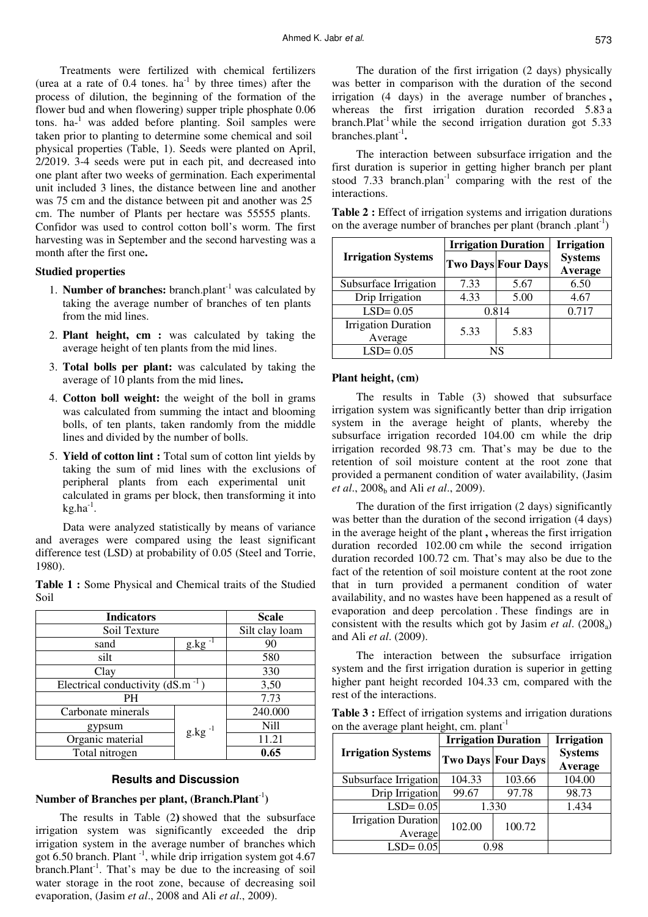Treatments were fertilized with chemical fertilizers (urea at a rate of  $0.4$  tones.  $ha^{-1}$  by three times) after the process of dilution, the beginning of the formation of the flower bud and when flowering) supper triple phosphate 0.06 tons. ha-<sup>1</sup> was added before planting. Soil samples were taken prior to planting to determine some chemical and soil physical properties (Table, 1). Seeds were planted on April, 2/2019. 3-4 seeds were put in each pit, and decreased into one plant after two weeks of germination. Each experimental unit included 3 lines, the distance between line and another was 75 cm and the distance between pit and another was 25 cm. The number of Plants per hectare was 55555 plants. Confidor was used to control cotton boll's worm. The first harvesting was in September and the second harvesting was a month after the first one.

### **Studied properties**

- 1. **Number of branches:** branch.plant-1 was calculated by taking the average number of branches of ten plants from the mid lines.
- 2. **Plant height, cm** : was calculated by taking the average height of ten plants from the mid lines.
- 3. **Total bolls per plant:** was calculated by taking the average of 10 plants from the mid lines.
- 4. **Cotton boll weight:** the weight of the boll in grams was calculated from summing the intact and blooming bolls, of ten plants, taken randomly from the middle lines and divided by the number of bolls.
- 5. **Yield of cotton lint :** Total sum of cotton lint yields by taking the sum of mid lines with the exclusions of peripheral plants from each experimental unit calculated in grams per block, then transforming it into  $kg.ha^{-1}.$

Data were analyzed statistically by means of variance and averages were compared using the least significant difference test (LSD) at probability of 0.05 (Steel and Torrie, 1980).

**Table 1 :** Some Physical and Chemical traits of the Studied Soil

| <b>Indicators</b>                     | <b>Scale</b>    |             |
|---------------------------------------|-----------------|-------------|
| Soil Texture                          | Silt clay loam  |             |
| sand                                  | $g$ .kg $^{-1}$ | 90          |
| silt                                  |                 | 580         |
| Clay                                  | 330             |             |
| Electrical conductivity $(dS.m^{-1})$ | 3,50            |             |
| PH                                    | 7.73            |             |
| Carbonate minerals                    |                 | 240.000     |
| gypsum                                | $g.kg^{-1}$     | <b>Nill</b> |
| Organic material                      |                 | 11.21       |
| Total nitrogen                        |                 | 0.65        |

#### **Results and Discussion**

## **Number of Branches per plant, (Branch.Plant**-1**)**

The results in Table (2) showed that the subsurface irrigation system was significantly exceeded the drip irrigation system in the average number of branches which got 6.50 branch. Plant<sup>-1</sup>, while drip irrigation system got 4.67  $branch$ . That's may be due to the increasing of soil water storage in the root zone, because of decreasing soil evaporation, (Jasim *et al*., 2008 and Ali *et al*., 2009).

The duration of the first irrigation (2 days) physically was better in comparison with the duration of the second irrigation (4 days) in the average number of branches , whereas the first irrigation duration recorded 5.83 a branch.Plat<sup>-1</sup> while the second irrigation duration got  $5.33$ branches.plant<sup>-1</sup>.

The interaction between subsurface irrigation and the first duration is superior in getting higher branch per plant stood 7.33 branch.plan<sup>-1</sup> comparing with the rest of the interactions.

| Table 2 : Effect of irrigation systems and irrigation durations            |
|----------------------------------------------------------------------------|
| on the average number of branches per plant (branch .plant <sup>-1</sup> ) |

|                                       | <b>Irrigation Duration</b> | <b>Irrigation</b>         |                           |  |
|---------------------------------------|----------------------------|---------------------------|---------------------------|--|
| <b>Irrigation Systems</b>             |                            | <b>Two Days Four Days</b> | <b>Systems</b><br>Average |  |
| Subsurface Irrigation                 | 7.33                       | 5.67                      | 6.50                      |  |
| Drip Irrigation                       | 4.33                       | 5.00                      | 4.67                      |  |
| $LSD = 0.05$                          | 0.814                      |                           | 0.717                     |  |
| <b>Irrigation Duration</b><br>Average | 5.33                       | 5.83                      |                           |  |
| $LSD = 0.05$                          |                            | NS                        |                           |  |

#### **Plant height, (cm)**

The results in Table (3) showed that subsurface irrigation system was significantly better than drip irrigation system in the average height of plants, whereby the subsurface irrigation recorded 104.00 cm while the drip irrigation recorded 98.73 cm. That's may be due to the retention of soil moisture content at the root zone that provided a permanent condition of water availability, (Jasim *et al.*, 2008<sub>b</sub> and Ali *et al.*, 2009).

The duration of the first irrigation (2 days) significantly was better than the duration of the second irrigation (4 days) in the average height of the plant , whereas the first irrigation duration recorded 102.00 cm while the second irrigation duration recorded 100.72 cm. That's may also be due to the fact of the retention of soil moisture content at the root zone that in turn provided a permanent condition of water availability, and no wastes have been happened as a result of evaporation and deep percolation . These findings are in consistent with the results which got by Jasim *et al*. (2008a) and Ali *et al*. (2009).

The interaction between the subsurface irrigation system and the first irrigation duration is superior in getting higher pant height recorded 104.33 cm, compared with the rest of the interactions.

| <b>Table 3 :</b> Effect of irrigation systems and irrigation durations |  |
|------------------------------------------------------------------------|--|
| on the average plant height, cm. plant <sup>-1</sup>                   |  |

|                            | <b>Irrigation Duration</b> | <b>Irrigation</b>         |                           |
|----------------------------|----------------------------|---------------------------|---------------------------|
| <b>Irrigation Systems</b>  |                            | <b>Two Days Four Days</b> | <b>Systems</b><br>Average |
| Subsurface Irrigation      | 104.33                     | 103.66                    | 104.00                    |
| Drip Irrigation            | 99.67                      | 97.78                     | 98.73                     |
| $LSD = 0.05$               | 1.330                      |                           | 1.434                     |
| <b>Irrigation Duration</b> | 102.00                     | 100.72                    |                           |
| Average                    |                            |                           |                           |
| $LSD = 0.05$               |                            | 0.98                      |                           |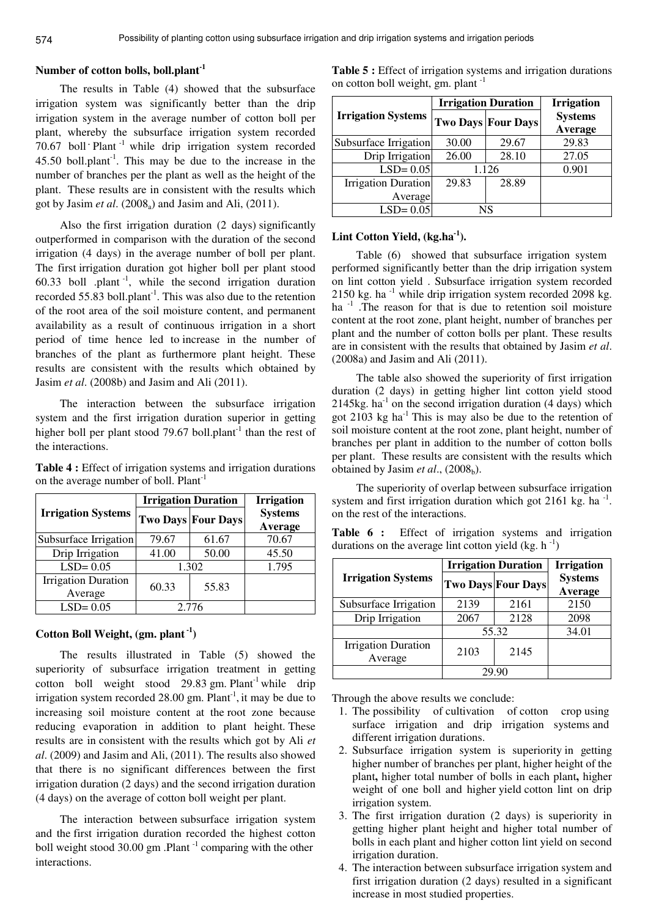## **Number of cotton bolls, boll.plant-1**

The results in Table (4) showed that the subsurface irrigation system was significantly better than the drip irrigation system in the average number of cotton boll per plant, whereby the subsurface irrigation system recorded 70.67 boll  $\cdot$  Plant<sup>-1</sup> while drip irrigation system recorded 45.50 boll.plant<sup>-1</sup>. This may be due to the increase in the number of branches per the plant as well as the height of the plant. These results are in consistent with the results which got by Jasim *et al.*  $(2008_a)$  and Jasim and Ali,  $(2011)$ .

Also the first irrigation duration (2 days) significantly outperformed in comparison with the duration of the second irrigation (4 days) in the average number of boll per plant. The first irrigation duration got higher boll per plant stood 60.33 boll .plant<sup>-1</sup>, while the second irrigation duration recorded 55.83 boll.plant<sup>-1</sup>. This was also due to the retention of the root area of the soil moisture content, and permanent availability as a result of continuous irrigation in a short period of time hence led to increase in the number of branches of the plant as furthermore plant height. These results are consistent with the results which obtained by Jasim *et al*. (2008b) and Jasim and Ali (2011).

The interaction between the subsurface irrigation system and the first irrigation duration superior in getting higher boll per plant stood 79.67 boll.plant<sup>-1</sup> than the rest of the interactions.

| Table 4 : Effect of irrigation systems and irrigation durations |
|-----------------------------------------------------------------|
| on the average number of boll. Plant <sup>-1</sup>              |

|                                       | <b>Irrigation Duration</b> | <b>Irrigation</b>         |                           |  |
|---------------------------------------|----------------------------|---------------------------|---------------------------|--|
| <b>Irrigation Systems</b>             |                            | <b>Two Days Four Days</b> | <b>Systems</b><br>Average |  |
| Subsurface Irrigation                 | 79.67                      | 61.67                     | 70.67                     |  |
| Drip Irrigation                       | 41.00                      | 50.00                     | 45.50                     |  |
| $LSD = 0.05$                          | 1.302                      |                           | 1.795                     |  |
| <b>Irrigation Duration</b><br>Average | 60.33                      | 55.83                     |                           |  |
| $LSD = 0.05$                          | 2.776                      |                           |                           |  |

## **Cotton Boll Weight, (gm. plant-1)**

The results illustrated in Table (5) showed the superiority of subsurface irrigation treatment in getting cotton boll weight stood  $29.83$  gm. Plant<sup>-1</sup> while drip irrigation system recorded  $28.00$  gm. Plant<sup>-1</sup>, it may be due to increasing soil moisture content at the root zone because reducing evaporation in addition to plant height. These results are in consistent with the results which got by Ali *et al*. (2009) and Jasim and Ali, (2011). The results also showed that there is no significant differences between the first irrigation duration (2 days) and the second irrigation duration (4 days) on the average of cotton boll weight per plant.

The interaction between subsurface irrigation system and the first irrigation duration recorded the highest cotton boll weight stood 30.00 gm .Plant  $^{-1}$  comparing with the other interactions.

|                           | <b>Irrigation Duration</b> | <b>Irrigation</b>         |                           |
|---------------------------|----------------------------|---------------------------|---------------------------|
| <b>Irrigation Systems</b> |                            | <b>Two Days Four Days</b> | <b>Systems</b><br>Average |
| Subsurface Irrigation     | 30.00                      | 29.67                     | 29.83                     |
| Drip Irrigation           | 26.00                      | 28.10                     | 27.05                     |
| $LSD = 0.05$              | 1.126                      |                           | 0.901                     |
| Irrigation Duration       | 29.83                      | 28.89                     |                           |
| Average                   |                            |                           |                           |
| $LSD = 0.05$              | NS                         |                           |                           |

**Lint Cotton Yield, (kg.ha-1).** 

Table (6) showed that subsurface irrigation system performed significantly better than the drip irrigation system on lint cotton yield . Subsurface irrigation system recorded 2150 kg. ha $^{-1}$  while drip irrigation system recorded 2098 kg. ha  $^{-1}$ . The reason for that is due to retention soil moisture content at the root zone, plant height, number of branches per plant and the number of cotton bolls per plant. These results are in consistent with the results that obtained by Jasim *et al*. (2008a) and Jasim and Ali (2011).

The table also showed the superiority of first irrigation duration (2 days) in getting higher lint cotton yield stood 2145kg. ha $^{-1}$  on the second irrigation duration (4 days) which got  $2103$  kg ha<sup>-1</sup> This is may also be due to the retention of soil moisture content at the root zone, plant height, number of branches per plant in addition to the number of cotton bolls per plant. These results are consistent with the results which obtained by Jasim *et al.*,  $(2008<sub>b</sub>)$ .

The superiority of overlap between subsurface irrigation system and first irrigation duration which got  $2161$  kg. ha<sup>-1</sup>. on the rest of the interactions.

|  |  | <b>Table 6 :</b> Effect of irrigation systems and irrigation |  |  |
|--|--|--------------------------------------------------------------|--|--|
|  |  | durations on the average lint cotton yield $(kg, h^{-1})$    |  |  |

|                                       | <b>Irrigation Duration</b> | <b>Irrigation</b>         |                           |  |
|---------------------------------------|----------------------------|---------------------------|---------------------------|--|
| <b>Irrigation Systems</b>             |                            | <b>Two Days Four Days</b> | <b>Systems</b><br>Average |  |
| Subsurface Irrigation                 | 2139                       | 2161                      | 2150                      |  |
| Drip Irrigation                       | 2128<br>2067               |                           | 2098                      |  |
|                                       | 55.32                      |                           | 34.01                     |  |
| <b>Irrigation Duration</b><br>Average | 2103                       | 2145                      |                           |  |
|                                       | 29.90                      |                           |                           |  |

Through the above results we conclude:

- 1. The possibility of cultivation of cotton crop using surface irrigation and drip irrigation systems and different irrigation durations.
- 2. Subsurface irrigation system is superiority in getting higher number of branches per plant, higher height of the plant, higher total number of bolls in each plant, higher weight of one boll and higher yield cotton lint on drip irrigation system.
- 3. The first irrigation duration (2 days) is superiority in getting higher plant height and higher total number of bolls in each plant and higher cotton lint yield on second irrigation duration.
- 4. The interaction between subsurface irrigation system and first irrigation duration (2 days) resulted in a significant increase in most studied properties.

| <b>Table 5 :</b> Effect of irrigation systems and irrigation durations |  |
|------------------------------------------------------------------------|--|
| on cotton boll weight, gm. plant <sup>-1</sup>                         |  |